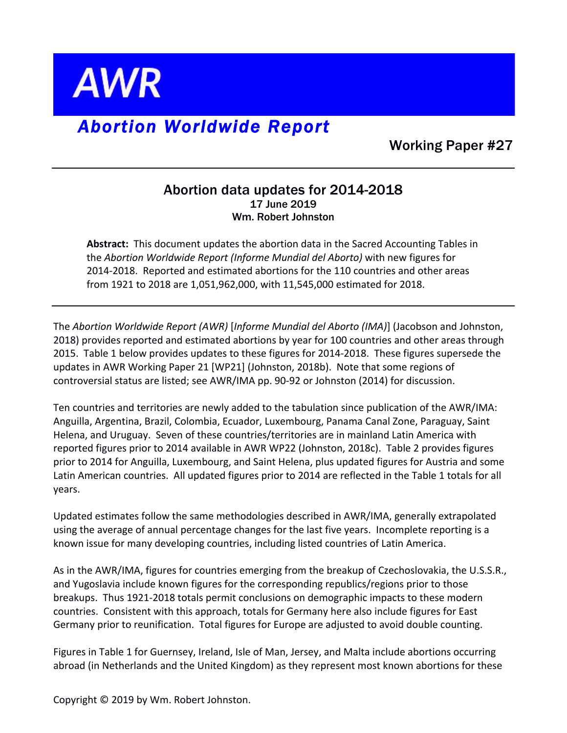

## *Abortion Worldwide Report*

Working Paper #27

## Abortion data updates for 2014-2018 17 June 2019 Wm. Robert Johnston

Abstract: This document updates the abortion data in the Sacred Accounting Tables in the *Abortion Worldwide Report (Informe Mundial del Aborto)* with new figures for 2014-2018. Reported and estimated abortions for the 110 countries and other areas from 1921 to 2018 are 1,051,962,000, with 11,545,000 estimated for 2018.

The Abortion Worldwide Report (AWR) [Informe Mundial del Aborto (IMA)] (Jacobson and Johnston, 2018) provides reported and estimated abortions by year for 100 countries and other areas through 2015. Table 1 below provides updates to these figures for 2014-2018. These figures supersede the updates in AWR Working Paper 21 [WP21] (Johnston, 2018b). Note that some regions of controversial status are listed; see AWR/IMA pp. 90-92 or Johnston (2014) for discussion.

Ten countries and territories are newly added to the tabulation since publication of the AWR/IMA: Anguilla, Argentina, Brazil, Colombia, Ecuador, Luxembourg, Panama Canal Zone, Paraguay, Saint Helena, and Uruguay. Seven of these countries/territories are in mainland Latin America with reported figures prior to 2014 available in AWR WP22 (Johnston, 2018c). Table 2 provides figures prior to 2014 for Anguilla, Luxembourg, and Saint Helena, plus updated figures for Austria and some Latin American countries. All updated figures prior to 2014 are reflected in the Table 1 totals for all years. 

Updated estimates follow the same methodologies described in AWR/IMA, generally extrapolated using the average of annual percentage changes for the last five years. Incomplete reporting is a known issue for many developing countries, including listed countries of Latin America.

As in the AWR/IMA, figures for countries emerging from the breakup of Czechoslovakia, the U.S.S.R., and Yugoslavia include known figures for the corresponding republics/regions prior to those breakups. Thus 1921-2018 totals permit conclusions on demographic impacts to these modern countries. Consistent with this approach, totals for Germany here also include figures for East Germany prior to reunification. Total figures for Europe are adjusted to avoid double counting.

Figures in Table 1 for Guernsey, Ireland, Isle of Man, Jersey, and Malta include abortions occurring abroad (in Netherlands and the United Kingdom) as they represent most known abortions for these

Copyright  $\odot$  2019 by Wm. Robert Johnston.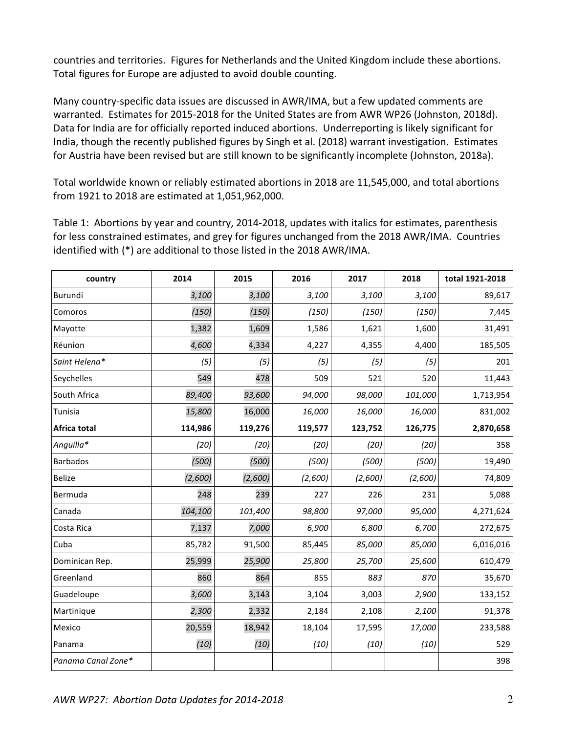countries and territories. Figures for Netherlands and the United Kingdom include these abortions. Total figures for Europe are adjusted to avoid double counting.

Many country-specific data issues are discussed in AWR/IMA, but a few updated comments are warranted. Estimates for 2015-2018 for the United States are from AWR WP26 (Johnston, 2018d). Data for India are for officially reported induced abortions. Underreporting is likely significant for India, though the recently published figures by Singh et al. (2018) warrant investigation. Estimates for Austria have been revised but are still known to be significantly incomplete (Johnston, 2018a).

Total worldwide known or reliably estimated abortions in 2018 are 11,545,000, and total abortions from 1921 to 2018 are estimated at 1,051,962,000.

Table 1: Abortions by year and country, 2014-2018, updates with italics for estimates, parenthesis for less constrained estimates, and grey for figures unchanged from the 2018 AWR/IMA. Countries identified with (\*) are additional to those listed in the 2018 AWR/IMA.

| country            | 2014    | 2015    | 2016    | 2017    | 2018    | total 1921-2018 |
|--------------------|---------|---------|---------|---------|---------|-----------------|
| Burundi            | 3,100   | 3,100   | 3,100   | 3,100   | 3,100   | 89,617          |
| Comoros            | (150)   | (150)   | (150)   | (150)   | (150)   | 7,445           |
| Mayotte            | 1,382   | 1,609   | 1,586   | 1,621   | 1,600   | 31,491          |
| Réunion            | 4,600   | 4,334   | 4,227   | 4,355   | 4,400   | 185,505         |
| Saint Helena*      | (5)     | (5)     | (5)     | (5)     | (5)     | 201             |
| Seychelles         | 549     | 478     | 509     | 521     | 520     | 11,443          |
| South Africa       | 89,400  | 93,600  | 94,000  | 98,000  | 101,000 | 1,713,954       |
| Tunisia            | 15,800  | 16,000  | 16,000  | 16,000  | 16,000  | 831,002         |
| Africa total       | 114,986 | 119,276 | 119,577 | 123,752 | 126,775 | 2,870,658       |
| Anguilla*          | (20)    | (20)    | (20)    | (20)    | (20)    | 358             |
| <b>Barbados</b>    | (500)   | (500)   | (500)   | (500)   | (500)   | 19,490          |
| <b>Belize</b>      | (2,600) | (2,600) | (2,600) | (2,600) | (2,600) | 74,809          |
| Bermuda            | 248     | 239     | 227     | 226     | 231     | 5,088           |
| Canada             | 104,100 | 101,400 | 98,800  | 97,000  | 95,000  | 4,271,624       |
| Costa Rica         | 7,137   | 7,000   | 6,900   | 6,800   | 6,700   | 272,675         |
| Cuba               | 85,782  | 91,500  | 85,445  | 85,000  | 85,000  | 6,016,016       |
| Dominican Rep.     | 25,999  | 25,900  | 25,800  | 25,700  | 25,600  | 610,479         |
| Greenland          | 860     | 864     | 855     | 883     | 870     | 35,670          |
| Guadeloupe         | 3,600   | 3,143   | 3,104   | 3,003   | 2,900   | 133,152         |
| Martinique         | 2,300   | 2,332   | 2,184   | 2,108   | 2,100   | 91,378          |
| Mexico             | 20,559  | 18,942  | 18,104  | 17,595  | 17,000  | 233,588         |
| Panama             | (10)    | (10)    | (10)    | (10)    | (10)    | 529             |
| Panama Canal Zone* |         |         |         |         |         | 398             |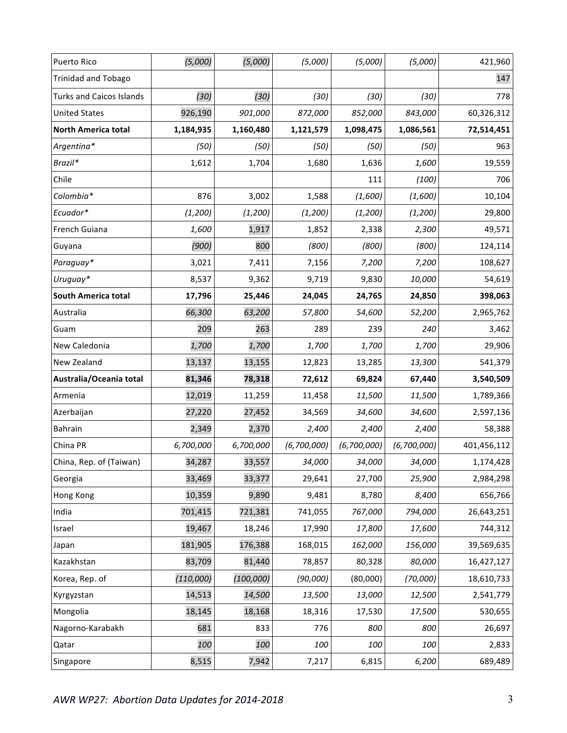| Puerto Rico                     | (5,000)   | (5,000)    | (5,000)     | (5,000)     | (5,000)     | 421,960     |
|---------------------------------|-----------|------------|-------------|-------------|-------------|-------------|
| <b>Trinidad and Tobago</b>      |           |            |             |             |             | 147         |
| <b>Turks and Caicos Islands</b> | (30)      | (30)       | (30)        | (30)        | (30)        | 778         |
| <b>United States</b>            | 926,190   | 901,000    | 872,000     | 852,000     | 843,000     | 60,326,312  |
| <b>North America total</b>      | 1,184,935 | 1,160,480  | 1,121,579   | 1,098,475   | 1,086,561   | 72,514,451  |
| Argentina*                      | (50)      | (50)       | (50)        | (50)        | (50)        | 963         |
| Brazil*                         | 1,612     | 1,704      | 1,680       | 1,636       | 1,600       | 19,559      |
| Chile                           |           |            |             | 111         | (100)       | 706         |
| Colombia*                       | 876       | 3,002      | 1,588       | (1,600)     | (1,600)     | 10,104      |
| Ecuador*                        | (1, 200)  | (1, 200)   | (1, 200)    | (1, 200)    | (1,200)     | 29,800      |
| French Guiana                   | 1,600     | 1,917      | 1,852       | 2,338       | 2,300       | 49,571      |
| Guyana                          | (900)     | 800        | (800)       | (800)       | (800)       | 124,114     |
| Paraguay*                       | 3,021     | 7,411      | 7,156       | 7,200       | 7,200       | 108,627     |
| Uruguay*                        | 8,537     | 9,362      | 9,719       | 9,830       | 10,000      | 54,619      |
| South America total             | 17,796    | 25,446     | 24,045      | 24,765      | 24,850      | 398,063     |
| Australia                       | 66,300    | 63,200     | 57,800      | 54,600      | 52,200      | 2,965,762   |
| Guam                            | 209       | 263        | 289         | 239         | 240         | 3,462       |
| New Caledonia                   | 1,700     | 1,700      | 1,700       | 1,700       | 1,700       | 29,906      |
| New Zealand                     | 13,137    | 13,155     | 12,823      | 13,285      | 13,300      | 541,379     |
| Australia/Oceania total         | 81,346    | 78,318     | 72,612      | 69,824      | 67,440      | 3,540,509   |
| Armenia                         | 12,019    | 11,259     | 11,458      | 11,500      | 11,500      | 1,789,366   |
| Azerbaijan                      | 27,220    | 27,452     | 34,569      | 34,600      | 34,600      | 2,597,136   |
| Bahrain                         | 2,349     | 2,370      | 2,400       | 2,400       | 2,400       | 58,388      |
| China PR                        | 6,700,000 | 6,700,000  | (6,700,000) | (6,700,000) | (6,700,000) | 401,456,112 |
| China, Rep. of (Taiwan)         | 34,287    | 33,557     | 34,000      | 34,000      | 34,000      | 1,174,428   |
| Georgia                         | 33,469    | 33,377     | 29,641      | 27,700      | 25,900      | 2,984,298   |
| Hong Kong                       | 10,359    | 9,890      | 9,481       | 8,780       | 8,400       | 656,766     |
| India                           | 701,415   | 721,381    | 741,055     | 767,000     | 794,000     | 26,643,251  |
| Israel                          | 19,467    | 18,246     | 17,990      | 17,800      | 17,600      | 744,312     |
| Japan                           | 181,905   | 176,388    | 168,015     | 162,000     | 156,000     | 39,569,635  |
| Kazakhstan                      | 83,709    | 81,440     | 78,857      | 80,328      | 80,000      | 16,427,127  |
| Korea, Rep. of                  | (110,000) | (100, 000) | (90,000)    | (80,000)    | (70,000)    | 18,610,733  |
| Kyrgyzstan                      | 14,513    | 14,500     | 13,500      | 13,000      | 12,500      | 2,541,779   |
| Mongolia                        | 18,145    | 18,168     | 18,316      | 17,530      | 17,500      | 530,655     |
| Nagorno-Karabakh                | 681       | 833        | 776         | 800         | 800         | 26,697      |
| Qatar                           | 100       | 100        | 100         | 100         | 100         | 2,833       |
| Singapore                       | 8,515     | 7,942      | 7,217       | 6,815       | 6,200       | 689,489     |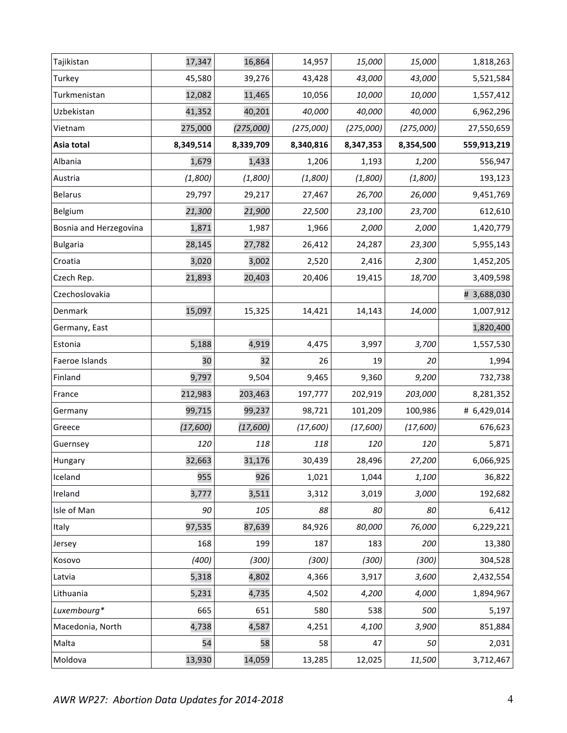| Tajikistan             | 17,347    | 16,864    | 14,957    | 15,000    | 15,000    | 1,818,263   |
|------------------------|-----------|-----------|-----------|-----------|-----------|-------------|
| Turkey                 | 45,580    | 39,276    | 43,428    | 43,000    | 43,000    | 5,521,584   |
| Turkmenistan           | 12,082    | 11,465    | 10,056    | 10,000    | 10,000    | 1,557,412   |
| Uzbekistan             | 41,352    | 40,201    | 40,000    | 40,000    | 40,000    | 6,962,296   |
| Vietnam                | 275,000   | (275,000) | (275,000) | (275,000) | (275,000) | 27,550,659  |
| Asia total             | 8,349,514 | 8,339,709 | 8,340,816 | 8,347,353 | 8,354,500 | 559,913,219 |
| Albania                | 1,679     | 1,433     | 1,206     | 1,193     | 1,200     | 556,947     |
| Austria                | (1,800)   | (1,800)   | (1,800)   | (1,800)   | (1,800)   | 193,123     |
| <b>Belarus</b>         | 29,797    | 29,217    | 27,467    | 26,700    | 26,000    | 9,451,769   |
| Belgium                | 21,300    | 21,900    | 22,500    | 23,100    | 23,700    | 612,610     |
| Bosnia and Herzegovina | 1,871     | 1,987     | 1,966     | 2,000     | 2,000     | 1,420,779   |
| <b>Bulgaria</b>        | 28,145    | 27,782    | 26,412    | 24,287    | 23,300    | 5,955,143   |
| Croatia                | 3,020     | 3,002     | 2,520     | 2,416     | 2,300     | 1,452,205   |
| Czech Rep.             | 21,893    | 20,403    | 20,406    | 19,415    | 18,700    | 3,409,598   |
| Czechoslovakia         |           |           |           |           |           | # 3,688,030 |
| Denmark                | 15,097    | 15,325    | 14,421    | 14,143    | 14,000    | 1,007,912   |
| Germany, East          |           |           |           |           |           | 1,820,400   |
| Estonia                | 5,188     | 4,919     | 4,475     | 3,997     | 3,700     | 1,557,530   |
| Faeroe Islands         | 30        | 32        | 26        | 19        | 20        | 1,994       |
| Finland                | 9,797     | 9,504     | 9,465     | 9,360     | 9,200     | 732,738     |
| France                 | 212,983   | 203,463   | 197,777   | 202,919   | 203,000   | 8,281,352   |
| Germany                | 99,715    | 99,237    | 98,721    | 101,209   | 100,986   | # 6,429,014 |
| Greece                 | (17,600)  | (17,600)  | (17,600)  | (17,600)  | (17,600)  | 676,623     |
| Guernsey               | 120       | 118       | 118       | 120       | 120       | 5,871       |
| Hungary                | 32,663    | 31,176    | 30,439    | 28,496    | 27,200    | 6,066,925   |
| Iceland                | 955       | 926       | 1,021     | 1,044     | 1,100     | 36,822      |
| Ireland                | 3,777     | 3,511     | 3,312     | 3,019     | 3,000     | 192,682     |
| Isle of Man            | 90        | 105       | 88        | 80        | 80        | 6,412       |
| Italy                  | 97,535    | 87,639    | 84,926    | 80,000    | 76,000    | 6,229,221   |
| Jersey                 | 168       | 199       | 187       | 183       | 200       | 13,380      |
| Kosovo                 | (400)     | (300)     | (300)     | (300)     | (300)     | 304,528     |
| Latvia                 | 5,318     | 4,802     | 4,366     | 3,917     | 3,600     | 2,432,554   |
| Lithuania              | 5,231     | 4,735     | 4,502     | 4,200     | 4,000     | 1,894,967   |
| Luxembourg*            | 665       | 651       | 580       | 538       | 500       | 5,197       |
| Macedonia, North       | 4,738     | 4,587     | 4,251     | 4,100     | 3,900     | 851,884     |
| Malta                  | 54        | 58        | 58        | 47        | 50        | 2,031       |
| Moldova                | 13,930    | 14,059    | 13,285    | 12,025    | 11,500    | 3,712,467   |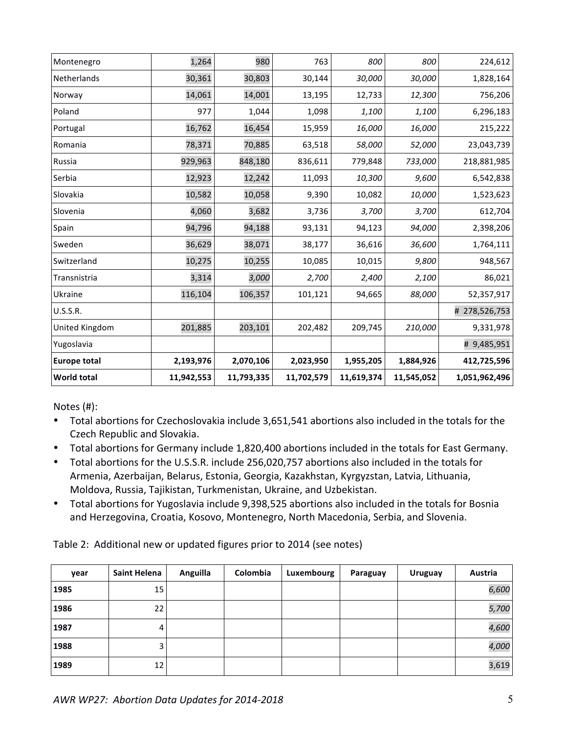| Montenegro          | 1,264      | 980        | 763        | 800        | 800        | 224,612       |
|---------------------|------------|------------|------------|------------|------------|---------------|
| <b>Netherlands</b>  | 30,361     | 30,803     | 30,144     | 30,000     | 30,000     | 1,828,164     |
| Norway              | 14,061     | 14,001     | 13,195     | 12,733     | 12,300     | 756,206       |
| Poland              | 977        | 1,044      | 1,098      | 1,100      | 1,100      | 6,296,183     |
| Portugal            | 16,762     | 16,454     | 15,959     | 16,000     | 16,000     | 215,222       |
| Romania             | 78,371     | 70,885     | 63,518     | 58,000     | 52,000     | 23,043,739    |
| Russia              | 929,963    | 848,180    | 836,611    | 779,848    | 733,000    | 218,881,985   |
| Serbia              | 12,923     | 12,242     | 11,093     | 10,300     | 9,600      | 6,542,838     |
| Slovakia            | 10,582     | 10,058     | 9,390      | 10,082     | 10,000     | 1,523,623     |
| Slovenia            | 4,060      | 3,682      | 3,736      | 3,700      | 3,700      | 612,704       |
| Spain               | 94,796     | 94,188     | 93,131     | 94,123     | 94,000     | 2,398,206     |
| Sweden              | 36,629     | 38,071     | 38,177     | 36,616     | 36,600     | 1,764,111     |
| Switzerland         | 10,275     | 10,255     | 10,085     | 10,015     | 9,800      | 948,567       |
| Transnistria        | 3,314      | 3,000      | 2,700      | 2,400      | 2,100      | 86,021        |
| Ukraine             | 116,104    | 106,357    | 101,121    | 94,665     | 88,000     | 52,357,917    |
| U.S.S.R.            |            |            |            |            |            | # 278,526,753 |
| United Kingdom      | 201,885    | 203,101    | 202,482    | 209,745    | 210,000    | 9,331,978     |
| Yugoslavia          |            |            |            |            |            | # 9,485,951   |
| <b>Europe total</b> | 2,193,976  | 2,070,106  | 2,023,950  | 1,955,205  | 1,884,926  | 412,725,596   |
| World total         | 11,942,553 | 11,793,335 | 11,702,579 | 11,619,374 | 11,545,052 | 1,051,962,496 |

Notes (#):

- Total abortions for Czechoslovakia include 3,651,541 abortions also included in the totals for the Czech Republic and Slovakia.
- Total abortions for Germany include 1,820,400 abortions included in the totals for East Germany.
- Total abortions for the U.S.S.R. include 256,020,757 abortions also included in the totals for Armenia, Azerbaijan, Belarus, Estonia, Georgia, Kazakhstan, Kyrgyzstan, Latvia, Lithuania, Moldova, Russia, Tajikistan, Turkmenistan, Ukraine, and Uzbekistan.
- Total abortions for Yugoslavia include 9,398,525 abortions also included in the totals for Bosnia and Herzegovina, Croatia, Kosovo, Montenegro, North Macedonia, Serbia, and Slovenia.

Table 2: Additional new or updated figures prior to 2014 (see notes)

| year | Saint Helena | Anguilla | Colombia | Luxembourg | Paraguay | <b>Uruguay</b> | Austria |
|------|--------------|----------|----------|------------|----------|----------------|---------|
| 1985 | 15           |          |          |            |          |                | 6,600   |
| 1986 | 22           |          |          |            |          |                | 5,700   |
| 1987 | 4            |          |          |            |          |                | 4,600   |
| 1988 | 3            |          |          |            |          |                | 4,000   |
| 1989 | 12           |          |          |            |          |                | 3,619   |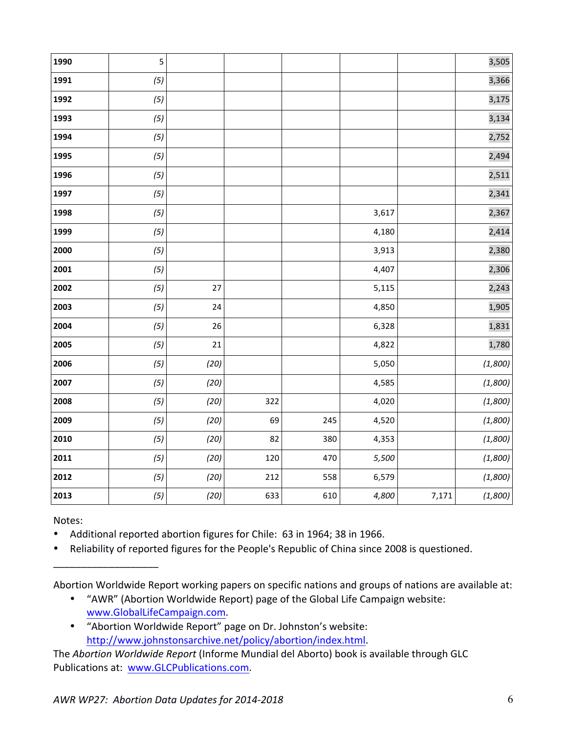| 1990 | 5   |      |     |     |       |       | 3,505   |
|------|-----|------|-----|-----|-------|-------|---------|
| 1991 | (5) |      |     |     |       |       | 3,366   |
| 1992 | (5) |      |     |     |       |       | 3,175   |
| 1993 | (5) |      |     |     |       |       | 3,134   |
| 1994 | (5) |      |     |     |       |       | 2,752   |
| 1995 | (5) |      |     |     |       |       | 2,494   |
| 1996 | (5) |      |     |     |       |       | 2,511   |
| 1997 | (5) |      |     |     |       |       | 2,341   |
| 1998 | (5) |      |     |     | 3,617 |       | 2,367   |
| 1999 | (5) |      |     |     | 4,180 |       | 2,414   |
| 2000 | (5) |      |     |     | 3,913 |       | 2,380   |
| 2001 | (5) |      |     |     | 4,407 |       | 2,306   |
| 2002 | (5) | 27   |     |     | 5,115 |       | 2,243   |
| 2003 | (5) | 24   |     |     | 4,850 |       | 1,905   |
| 2004 | (5) | 26   |     |     | 6,328 |       | 1,831   |
| 2005 | (5) | 21   |     |     | 4,822 |       | 1,780   |
| 2006 | (5) | (20) |     |     | 5,050 |       | (1,800) |
| 2007 | (5) | (20) |     |     | 4,585 |       | (1,800) |
| 2008 | (5) | (20) | 322 |     | 4,020 |       | (1,800) |
| 2009 | (5) | (20) | 69  | 245 | 4,520 |       | (1,800) |
| 2010 | (5) | (20) | 82  | 380 | 4,353 |       | (1,800) |
| 2011 | (5) | (20) | 120 | 470 | 5,500 |       | (1,800) |
| 2012 | (5) | (20) | 212 | 558 | 6,579 |       | (1,800) |
| 2013 | (5) | (20) | 633 | 610 | 4,800 | 7,171 | (1,800) |

Notes:

\_\_\_\_\_\_\_\_\_\_\_\_\_\_\_\_\_\_\_

• Additional reported abortion figures for Chile: 63 in 1964; 38 in 1966.

• Reliability of reported figures for the People's Republic of China since 2008 is questioned.

Abortion Worldwide Report working papers on specific nations and groups of nations are available at:

- "AWR" (Abortion Worldwide Report) page of the Global Life Campaign website: www.GlobalLifeCampaign.com.
- "Abortion Worldwide Report" page on Dr. Johnston's website: http://www.johnstonsarchive.net/policy/abortion/index.html.

The Abortion Worldwide Report (Informe Mundial del Aborto) book is available through GLC Publications at: www.GLCPublications.com.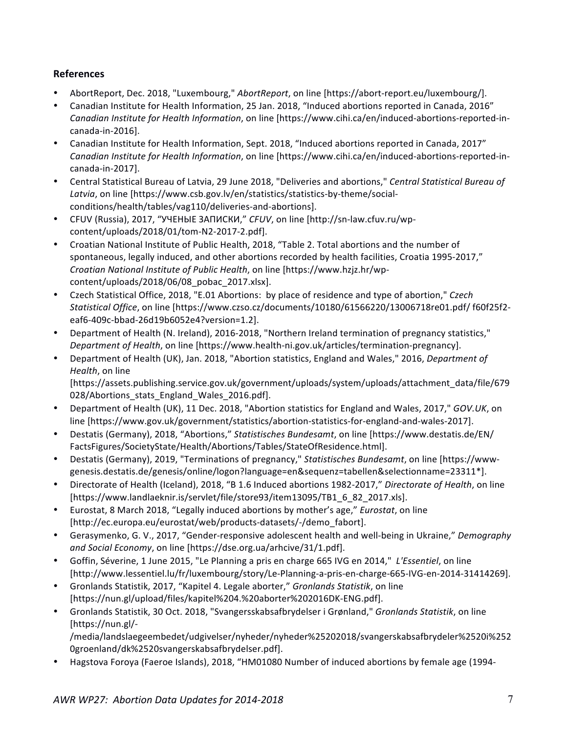## **References**

- AbortReport, Dec. 2018, "Luxembourg," *AbortReport*, on line [https://abort-report.eu/luxembourg/].
- Canadian Institute for Health Information, 25 Jan. 2018, "Induced abortions reported in Canada, 2016" *Canadian Institute for Health Information*, on line [https://www.cihi.ca/en/induced-abortions-reported-incanada-in-2016].
- Canadian Institute for Health Information, Sept. 2018, "Induced abortions reported in Canada, 2017" *Canadian Institute for Health Information*, on line [https://www.cihi.ca/en/induced-abortions-reported-incanada-in-2017].
- Central Statistical Bureau of Latvia, 29 June 2018, "Deliveries and abortions," Central Statistical Bureau of Latvia, on line [https://www.csb.gov.lv/en/statistics/statistics-by-theme/socialconditions/health/tables/vag110/deliveries-and-abortions].
- CFUV (Russia), 2017, "УЧЕНЫЕ ЗАПИСКИ," CFUV, on line [http://sn-law.cfuv.ru/wpcontent/uploads/2018/01/tom-N2-2017-2.pdf].
- Croatian National Institute of Public Health, 2018, "Table 2. Total abortions and the number of spontaneous, legally induced, and other abortions recorded by health facilities, Croatia 1995-2017," *Croatian National Institute of Public Health*, on line [https://www.hzjz.hr/wpcontent/uploads/2018/06/08\_pobac\_2017.xlsx].
- Czech Statistical Office, 2018, "E.01 Abortions: by place of residence and type of abortion," Czech *Statistical Office*, on line [https://www.czso.cz/documents/10180/61566220/13006718re01.pdf/ f60f25f2 eaf6-409c-bbad-26d19b6052e4?version=1.2].
- Department of Health (N. Ireland), 2016-2018, "Northern Ireland termination of pregnancy statistics," *Department of Health*, on line [https://www.health-ni.gov.uk/articles/termination-pregnancy].
- Department of Health (UK), Jan. 2018, "Abortion statistics, England and Wales," 2016, *Department of Health*, on line

[https://assets.publishing.service.gov.uk/government/uploads/system/uploads/attachment\_data/file/679 028/Abortions stats England Wales 2016.pdf].

- Department of Health (UK), 11 Dec. 2018, "Abortion statistics for England and Wales, 2017," *GOV.UK*, on line [https://www.gov.uk/government/statistics/abortion-statistics-for-england-and-wales-2017].
- Destatis (Germany), 2018, "Abortions," Statistisches Bundesamt, on line [https://www.destatis.de/EN/ FactsFigures/SocietyState/Health/Abortions/Tables/StateOfResidence.html].
- Destatis (Germany), 2019, "Terminations of pregnancy," Statistisches Bundesamt, on line [https://wwwgenesis.destatis.de/genesis/online/logon?language=en&sequenz=tabellen&selectionname=23311\*].
- Directorate of Health (Iceland), 2018, "B 1.6 Induced abortions 1982-2017," Directorate of Health, on line [https://www.landlaeknir.is/servlet/file/store93/item13095/TB1\_6\_82\_2017.xls].
- Eurostat, 8 March 2018, "Legally induced abortions by mother's age," *Eurostat*, on line [http://ec.europa.eu/eurostat/web/products-datasets/-/demo\_fabort].
- Gerasymenko, G. V., 2017, "Gender-responsive adolescent health and well-being in Ukraine," *Demography* and Social Economy, on line [https://dse.org.ua/arhcive/31/1.pdf].
- Goffin, Séverine, 1 June 2015, "Le Planning a pris en charge 665 IVG en 2014," L'Essentiel, on line [http://www.lessentiel.lu/fr/luxembourg/story/Le-Planning-a-pris-en-charge-665-IVG-en-2014-31414269].
- Gronlands Statistik, 2017, "Kapitel 4. Legale aborter," *Gronlands Statistik*, on line [https://nun.gl/upload/files/kapitel%204.%20aborter%202016DK-ENG.pdf].
- Gronlands Statistik, 30 Oct. 2018, "Svangersskabsafbrydelser i Grønland," *Gronlands Statistik*, on line [https://nun.gl/-

/media/landslaegeembedet/udgivelser/nyheder/nyheder%25202018/svangerskabsafbrydeler%2520i%252 0groenland/dk%2520svangerskabsafbrydelser.pdf].

Hagstova Foroya (Faeroe Islands), 2018, "HM01080 Number of induced abortions by female age (1994-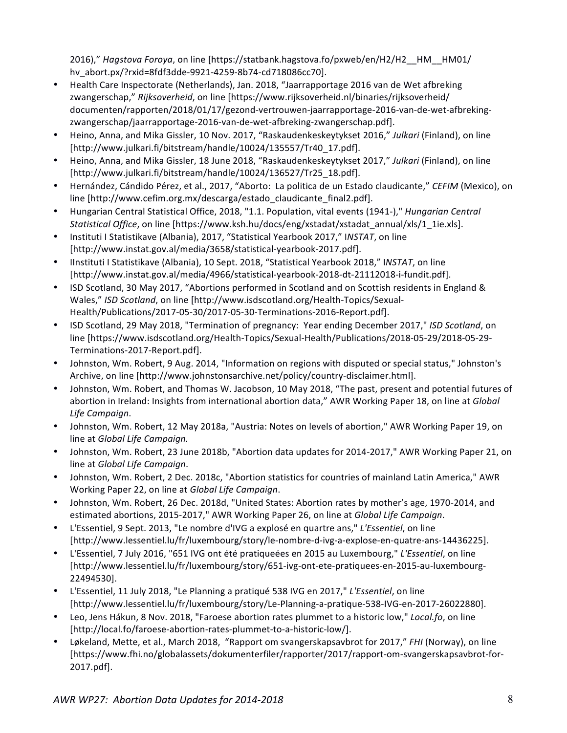2016)," *Hagstova Foroya*, on line [https://statbank.hagstova.fo/pxweb/en/H2/H2\_\_HM\_\_HM01/ hv\_abort.px/?rxid=8fdf3dde-9921-4259-8b74-cd718086cc70].

- Health Care Inspectorate (Netherlands), Jan. 2018, "Jaarrapportage 2016 van de Wet afbreking zwangerschap," Rijksoverheid, on line [https://www.rijksoverheid.nl/binaries/rijksoverheid/ documenten/rapporten/2018/01/17/gezond-vertrouwen-jaarrapportage-2016-van-de-wet-afbrekingzwangerschap/jaarrapportage-2016-van-de-wet-afbreking-zwangerschap.pdf].
- Heino, Anna, and Mika Gissler, 10 Nov. 2017, "Raskaudenkeskeytykset 2016," Julkari (Finland), on line [http://www.julkari.fi/bitstream/handle/10024/135557/Tr40\_17.pdf].
- Heino, Anna, and Mika Gissler, 18 June 2018, "Raskaudenkeskeytykset 2017," Julkari (Finland), on line [http://www.julkari.fi/bitstream/handle/10024/136527/Tr25\_18.pdf].
- Hernández, Cándido Pérez, et al., 2017, "Aborto: La politica de un Estado claudicante," CEFIM (Mexico), on line [http://www.cefim.org.mx/descarga/estado\_claudicante\_final2.pdf].
- Hungarian Central Statistical Office, 2018, "1.1. Population, vital events (1941-)," *Hungarian Central* Statistical Office, on line [https://www.ksh.hu/docs/eng/xstadat/xstadat\_annual/xls/1\_1ie.xls].
- Instituti I Statistikave (Albania), 2017, "Statistical Yearbook 2017," INSTAT, on line [http://www.instat.gov.al/media/3658/statistical-yearbook-2017.pdf].
- Ilnstituti I Statistikave (Albania), 10 Sept. 2018, "Statistical Yearbook 2018," INSTAT, on line [http://www.instat.gov.al/media/4966/statistical-yearbook-2018-dt-21112018-i-fundit.pdf].
- ISD Scotland, 30 May 2017, "Abortions performed in Scotland and on Scottish residents in England & Wales," ISD Scotland, on line [http://www.isdscotland.org/Health-Topics/Sexual-Health/Publications/2017-05-30/2017-05-30-Terminations-2016-Report.pdf].
- ISD Scotland, 29 May 2018, "Termination of pregnancy: Year ending December 2017," ISD Scotland, on line [https://www.isdscotland.org/Health-Topics/Sexual-Health/Publications/2018-05-29/2018-05-29-Terminations-2017-Report.pdf].
- Johnston, Wm. Robert, 9 Aug. 2014, "Information on regions with disputed or special status," Johnston's Archive, on line [http://www.johnstonsarchive.net/policy/country-disclaimer.html].
- Johnston, Wm. Robert, and Thomas W. Jacobson, 10 May 2018, "The past, present and potential futures of abortion in Ireland: Insights from international abortion data," AWR Working Paper 18, on line at *Global Life Campaign*.
- Johnston, Wm. Robert, 12 May 2018a, "Austria: Notes on levels of abortion," AWR Working Paper 19, on line at *Global Life Campaign.*
- Johnston, Wm. Robert, 23 June 2018b, "Abortion data updates for 2014-2017," AWR Working Paper 21, on line at *Global Life Campaign*.
- Johnston, Wm. Robert, 2 Dec. 2018c, "Abortion statistics for countries of mainland Latin America," AWR Working Paper 22, on line at *Global Life Campaign*.
- Johnston, Wm. Robert, 26 Dec. 2018d, "United States: Abortion rates by mother's age, 1970-2014, and estimated abortions, 2015-2017," AWR Working Paper 26, on line at *Global Life Campaign*.
- L'Essentiel, 9 Sept. 2013, "Le nombre d'IVG a explosé en quartre ans," L'Essentiel, on line [http://www.lessentiel.lu/fr/luxembourg/story/le-nombre-d-ivg-a-explose-en-quatre-ans-14436225].
- L'Essentiel, 7 July 2016, "651 IVG ont été pratiqueées en 2015 au Luxembourg," L'Essentiel, on line [http://www.lessentiel.lu/fr/luxembourg/story/651-ivg-ont-ete-pratiquees-en-2015-au-luxembourg-22494530].
- L'Essentiel, 11 July 2018, "Le Planning a pratiqué 538 IVG en 2017," L'Essentiel, on line [http://www.lessentiel.lu/fr/luxembourg/story/Le-Planning-a-pratique-538-IVG-en-2017-26022880].
- Leo, Jens Hákun, 8 Nov. 2018, "Faroese abortion rates plummet to a historic low," Local.fo, on line [http://local.fo/faroese-abortion-rates-plummet-to-a-historic-low/].
- Løkeland, Mette, et al., March 2018, "Rapport om svangerskapsavbrot for 2017," *FHI* (Norway), on line [https://www.fhi.no/globalassets/dokumenterfiler/rapporter/2017/rapport-om-svangerskapsavbrot-for-2017.pdf].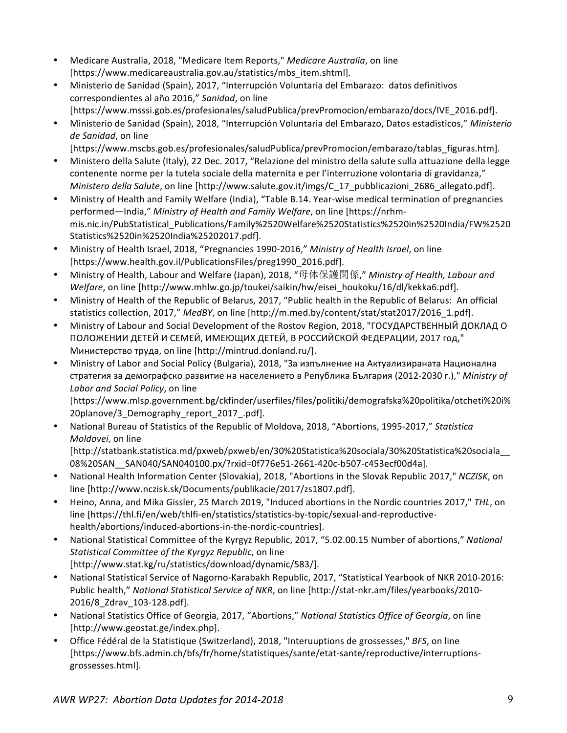- Medicare Australia, 2018, "Medicare Item Reports," Medicare Australia, on line [https://www.medicareaustralia.gov.au/statistics/mbs\_item.shtml].
- Ministerio de Sanidad (Spain), 2017, "Interrupción Voluntaria del Embarazo: datos definitivos correspondientes al año 2016," Sanidad, on line [https://www.msssi.gob.es/profesionales/saludPublica/prevPromocion/embarazo/docs/IVE\_2016.pdf].
- Ministerio de Sanidad (Spain), 2018, "Interrupción Voluntaria del Embarazo, Datos estadisticos," Ministerio *de Sanidad*, on line

[https://www.mscbs.gob.es/profesionales/saludPublica/prevPromocion/embarazo/tablas\_figuras.htm].

- Ministero della Salute (Italy), 22 Dec. 2017, "Relazione del ministro della salute sulla attuazione della legge contenente norme per la tutela sociale della maternita e per l'interruzione volontaria di gravidanza," *Ministero della Salute*, on line [http://www.salute.gov.it/imgs/C\_17\_pubblicazioni\_2686\_allegato.pdf].
- Ministry of Health and Family Welfare (India), "Table B.14. Year-wise medical termination of pregnancies performed—India," Ministry of Health and Family Welfare, on line [https://nrhmmis.nic.in/PubStatistical\_Publications/Family%2520Welfare%2520Statistics%2520in%2520India/FW%2520 Statistics%2520in%2520India%25202017.pdf].
- Ministry of Health Israel, 2018, "Pregnancies 1990-2016," Ministry of Health Israel, on line [https://www.health.gov.il/PublicationsFiles/preg1990\_2016.pdf].
- Ministry of Health, Labour and Welfare (Japan), 2018, "母体保護関係," *Ministry of Health, Labour and Welfare*, on line [http://www.mhlw.go.jp/toukei/saikin/hw/eisei\_houkoku/16/dl/kekka6.pdf].
- Ministry of Health of the Republic of Belarus, 2017, "Public health in the Republic of Belarus: An official statistics collection, 2017," *MedBY*, on line [http://m.med.by/content/stat/stat2017/2016\_1.pdf].
- Ministry of Labour and Social Development of the Rostov Region, 2018, "ГОСУДАРСТВЕННЫЙ ДОКЛАД О ПОЛОЖЕНИИ ДЕТЕЙ И СЕМЕЙ, ИМЕЮЩИХ ДЕТЕЙ, В РОССИЙСКОЙ ФЕДЕРАЦИИ, 2017 год," Министерство труда, on line [http://mintrud.donland.ru/].
- Ministry of Labor and Social Policy (Bulgaria), 2018, "За изпълнение на Актуализираната Национална стратегия за демографско развитие на населението в Република България (2012-2030 г.)," Ministry of Labor and Social Policy, on line

[https://www.mlsp.government.bg/ckfinder/userfiles/files/politiki/demografska%20politika/otcheti%20i% 20planove/3\_Demography\_report\_2017\_.pdf]. 

• National Bureau of Statistics of the Republic of Moldova, 2018, "Abortions, 1995-2017," Statistica *Moldovei*, on line

[http://statbank.statistica.md/pxweb/pxweb/en/30%20Statistica%20sociala/30%20Statistica%20sociala\_\_ 08%20SAN\_\_SAN040/SAN040100.px/?rxid=0f776e51-2661-420c-b507-c453ecf00d4a].

- National Health Information Center (Slovakia), 2018, "Abortions in the Slovak Republic 2017," *NCZISK*, on line [http://www.nczisk.sk/Documents/publikacie/2017/zs1807.pdf].
- Heino, Anna, and Mika Gissler, 25 March 2019, "Induced abortions in the Nordic countries 2017," THL, on line [https://thl.fi/en/web/thlfi-en/statistics/statistics-by-topic/sexual-and-reproductivehealth/abortions/induced-abortions-in-the-nordic-countries].
- National Statistical Committee of the Kyrgyz Republic, 2017, "5.02.00.15 Number of abortions," National *Statistical Committee of the Kyrgyz Republic*, on line [http://www.stat.kg/ru/statistics/download/dynamic/583/].
- National Statistical Service of Nagorno-Karabakh Republic, 2017, "Statistical Yearbook of NKR 2010-2016: Public health," National Statistical Service of NKR, on line [http://stat-nkr.am/files/yearbooks/2010-2016/8\_Zdrav\_103-128.pdf].
- National Statistics Office of Georgia, 2017, "Abortions," *National Statistics Office of Georgia*, on line [http://www.geostat.ge/index.php].
- Office Fédéral de la Statistique (Switzerland), 2018, "Interuuptions de grossesses," BFS, on line [https://www.bfs.admin.ch/bfs/fr/home/statistiques/sante/etat-sante/reproductive/interruptionsgrossesses.html].